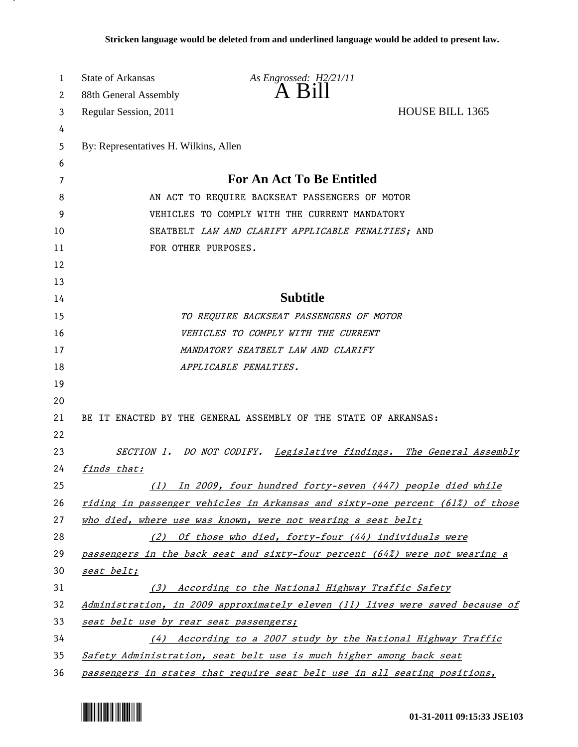| 1<br>2 | <b>State of Arkansas</b><br>88th General Assembly | As Engrossed: H2/21/11<br>A Bill                                              |                        |
|--------|---------------------------------------------------|-------------------------------------------------------------------------------|------------------------|
| 3      | Regular Session, 2011                             |                                                                               | <b>HOUSE BILL 1365</b> |
| 4      |                                                   |                                                                               |                        |
| 5      | By: Representatives H. Wilkins, Allen             |                                                                               |                        |
| 6      |                                                   |                                                                               |                        |
| 7      |                                                   | <b>For An Act To Be Entitled</b>                                              |                        |
| 8      |                                                   | AN ACT TO REQUIRE BACKSEAT PASSENGERS OF MOTOR                                |                        |
| 9      |                                                   | VEHICLES TO COMPLY WITH THE CURRENT MANDATORY                                 |                        |
| 10     |                                                   | SEATBELT LAW AND CLARIFY APPLICABLE PENALTIES; AND                            |                        |
| 11     |                                                   | FOR OTHER PURPOSES.                                                           |                        |
| 12     |                                                   |                                                                               |                        |
| 13     |                                                   |                                                                               |                        |
| 14     |                                                   | <b>Subtitle</b>                                                               |                        |
| 15     |                                                   | TO REQUIRE BACKSEAT PASSENGERS OF MOTOR                                       |                        |
| 16     |                                                   | VEHICLES TO COMPLY WITH THE CURRENT                                           |                        |
| 17     |                                                   | MANDATORY SEATBELT LAW AND CLARIFY                                            |                        |
| 18     |                                                   | APPLICABLE PENALTIES.                                                         |                        |
| 19     |                                                   |                                                                               |                        |
| 20     |                                                   |                                                                               |                        |
| 21     |                                                   | BE IT ENACTED BY THE GENERAL ASSEMBLY OF THE STATE OF ARKANSAS:               |                        |
| 22     |                                                   |                                                                               |                        |
| 23     |                                                   | SECTION 1. DO NOT CODIFY. Legislative findings. The General Assembly          |                        |
| 24     | finds that:                                       |                                                                               |                        |
| 25     | (1)                                               | In 2009, four hundred forty-seven (447) people died while                     |                        |
| 26     |                                                   | riding in passenger vehicles in Arkansas and sixty-one percent (61%) of those |                        |
| 27     |                                                   | who died, where use was known, were not wearing a seat belt;                  |                        |
| 28     |                                                   | (2) Of those who died, forty-four (44) individuals were                       |                        |
| 29     |                                                   | passengers in the back seat and sixty-four percent (64%) were not wearing a   |                        |
| 30     | seat belt;                                        |                                                                               |                        |
| 31     |                                                   | (3) According to the National Highway Traffic Safety                          |                        |
| 32     |                                                   | Administration, in 2009 approximately eleven (11) lives were saved because of |                        |
| 33     | seat belt use by rear seat passengers;            |                                                                               |                        |
| 34     |                                                   | (4) According to a 2007 study by the National Highway Traffic                 |                        |
| 35     |                                                   | Safety Administration, seat belt use is much higher among back seat           |                        |
| 36     |                                                   | passengers in states that require seat belt use in all seating positions,     |                        |

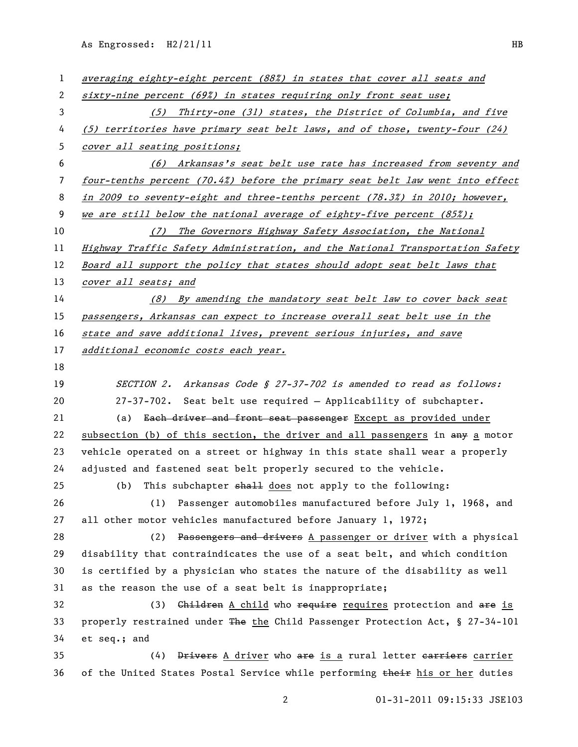As Engrossed: H2/21/11 HB

| 1  | averaging eighty-eight percent (88%) in states that cover all seats and       |
|----|-------------------------------------------------------------------------------|
| 2  | sixty-nine percent (69%) in states requiring only front seat use;             |
| 3  | (5) Thirty-one (31) states, the District of Columbia, and five                |
| 4  | (5) territories have primary seat belt laws, and of those, twenty-four $(24)$ |
| 5  | cover all seating positions;                                                  |
| 6  | (6) Arkansas's seat belt use rate has increased from seventy and              |
| 7  | four-tenths percent (70.4%) before the primary seat belt law went into effect |
| 8  | in 2009 to seventy-eight and three-tenths percent (78.3%) in 2010; however,   |
| 9  | we are still below the national average of eighty-five percent $(85\%)$ ;     |
| 10 | The Governors Highway Safety Association, the National<br>(7)                 |
| 11 | Highway Traffic Safety Administration, and the National Transportation Safety |
| 12 | Board all support the policy that states should adopt seat belt laws that     |
| 13 | cover all seats; and                                                          |
| 14 | (8) By amending the mandatory seat belt law to cover back seat                |
| 15 | passengers, Arkansas can expect to increase overall seat belt use in the      |
| 16 | state and save additional lives, prevent serious injuries, and save           |
| 17 | additional economic costs each year.                                          |
| 18 |                                                                               |
| 19 | SECTION 2. Arkansas Code § 27-37-702 is amended to read as follows:           |
| 20 | $27-37-702$ . Seat belt use required - Applicability of subchapter.           |
| 21 | Each driver and front seat passenger Except as provided under<br>(a)          |
| 22 | subsection (b) of this section, the driver and all passengers in any a motor  |
| 23 | vehicle operated on a street or highway in this state shall wear a properly   |
| 24 | adjusted and fastened seat belt properly secured to the vehicle.              |
| 25 | This subchapter shall does not apply to the following:<br>(b)                 |
| 26 | Passenger automobiles manufactured before July 1, 1968, and<br>(1)            |
| 27 | all other motor vehicles manufactured before January 1, 1972;                 |
| 28 | Passengers and drivers A passenger or driver with a physical<br>(2)           |
| 29 | disability that contraindicates the use of a seat belt, and which condition   |
| 30 | is certified by a physician who states the nature of the disability as well   |
| 31 | as the reason the use of a seat belt is inappropriate;                        |
| 32 | (3) Children A child who require requires protection and are is               |
| 33 | properly restrained under The the Child Passenger Protection Act, § 27-34-101 |
| 34 | et seq.; and                                                                  |
| 35 | (4) Drivers A driver who are is a rural letter earriers carrier               |
| 36 | of the United States Postal Service while performing their his or her duties  |
|    |                                                                               |

01-31-2011 09:15:33 JSE103